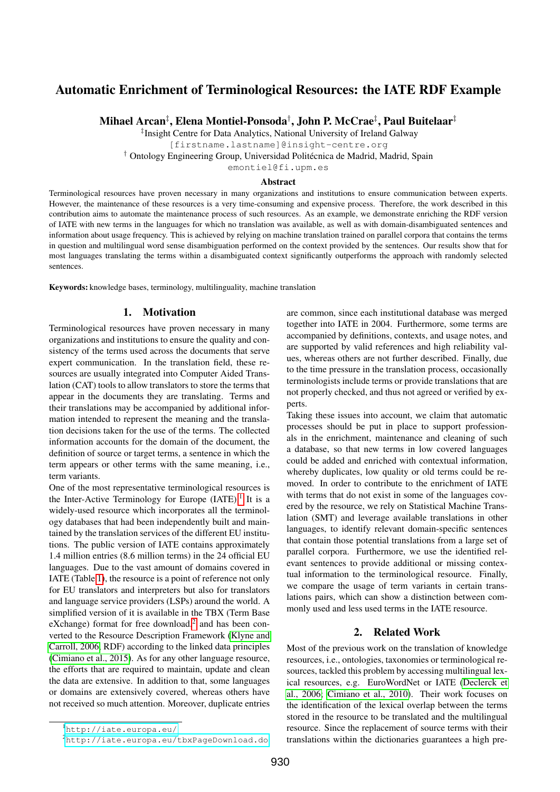# Automatic Enrichment of Terminological Resources: the IATE RDF Example

Mihael Arcan‡ , Elena Montiel-Ponsoda† , John P. McCrae‡ , Paul Buitelaar‡

‡ Insight Centre for Data Analytics, National University of Ireland Galway

[firstname.lastname]@insight-centre.org

† Ontology Engineering Group, Universidad Politecnica de Madrid, Madrid, Spain ´

emontiel@fi.upm.es

#### Abstract

Terminological resources have proven necessary in many organizations and institutions to ensure communication between experts. However, the maintenance of these resources is a very time-consuming and expensive process. Therefore, the work described in this contribution aims to automate the maintenance process of such resources. As an example, we demonstrate enriching the RDF version of IATE with new terms in the languages for which no translation was available, as well as with domain-disambiguated sentences and information about usage frequency. This is achieved by relying on machine translation trained on parallel corpora that contains the terms in question and multilingual word sense disambiguation performed on the context provided by the sentences. Our results show that for most languages translating the terms within a disambiguated context significantly outperforms the approach with randomly selected sentences.

Keywords: knowledge bases, terminology, multilinguality, machine translation

#### 1. Motivation

Terminological resources have proven necessary in many organizations and institutions to ensure the quality and consistency of the terms used across the documents that serve expert communication. In the translation field, these resources are usually integrated into Computer Aided Translation (CAT) tools to allow translators to store the terms that appear in the documents they are translating. Terms and their translations may be accompanied by additional information intended to represent the meaning and the translation decisions taken for the use of the terms. The collected information accounts for the domain of the document, the definition of source or target terms, a sentence in which the term appears or other terms with the same meaning, i.e., term variants.

One of the most representative terminological resources is the Inter-Active Terminology for Europe (IATE).<sup>[1](#page-0-0)</sup> It is a widely-used resource which incorporates all the terminology databases that had been independently built and maintained by the translation services of the different EU institutions. The public version of IATE contains approximately 1.4 million entries (8.6 million terms) in the 24 official EU languages. Due to the vast amount of domains covered in IATE (Table [1\)](#page-1-0), the resource is a point of reference not only for EU translators and interpreters but also for translators and language service providers (LSPs) around the world. A simplified version of it is available in the TBX (Term Base  $eX$ change) format for free download,<sup>[2](#page-0-1)</sup> and has been converted to the Resource Description Framework [\(Klyne and](#page-6-0) [Carroll, 2006,](#page-6-0) RDF) according to the linked data principles [\(Cimiano et al., 2015\)](#page-6-1). As for any other language resource, the efforts that are required to maintain, update and clean the data are extensive. In addition to that, some languages or domains are extensively covered, whereas others have not received so much attention. Moreover, duplicate entries

are common, since each institutional database was merged together into IATE in 2004. Furthermore, some terms are accompanied by definitions, contexts, and usage notes, and are supported by valid references and high reliability values, whereas others are not further described. Finally, due to the time pressure in the translation process, occasionally terminologists include terms or provide translations that are not properly checked, and thus not agreed or verified by experts.

Taking these issues into account, we claim that automatic processes should be put in place to support professionals in the enrichment, maintenance and cleaning of such a database, so that new terms in low covered languages could be added and enriched with contextual information, whereby duplicates, low quality or old terms could be removed. In order to contribute to the enrichment of IATE with terms that do not exist in some of the languages covered by the resource, we rely on Statistical Machine Translation (SMT) and leverage available translations in other languages, to identify relevant domain-specific sentences that contain those potential translations from a large set of parallel corpora. Furthermore, we use the identified relevant sentences to provide additional or missing contextual information to the terminological resource. Finally, we compare the usage of term variants in certain translations pairs, which can show a distinction between commonly used and less used terms in the IATE resource.

### 2. Related Work

Most of the previous work on the translation of knowledge resources, i.e., ontologies, taxonomies or terminological resources, tackled this problem by accessing multilingual lexical resources, e.g. EuroWordNet or IATE [\(Declerck et](#page-6-2) [al., 2006;](#page-6-2) [Cimiano et al., 2010\)](#page-6-3). Their work focuses on the identification of the lexical overlap between the terms stored in the resource to be translated and the multilingual resource. Since the replacement of source terms with their translations within the dictionaries guarantees a high pre-

<span id="page-0-0"></span><sup>1</sup><http://iate.europa.eu/>

<span id="page-0-1"></span><sup>2</sup><http://iate.europa.eu/tbxPageDownload.do>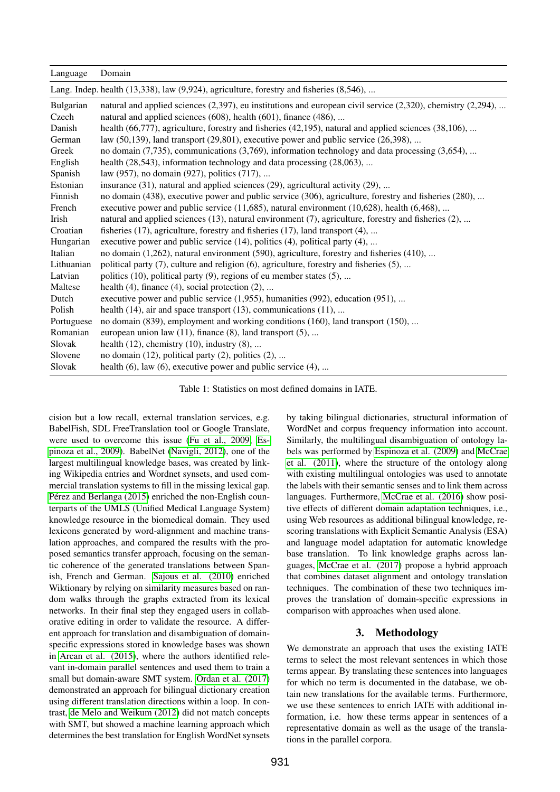| Language           | Domain                                                                                                                                                                                    |
|--------------------|-------------------------------------------------------------------------------------------------------------------------------------------------------------------------------------------|
|                    | Lang. Indep. health (13,338), law (9,924), agriculture, forestry and fisheries (8,546),                                                                                                   |
| Bulgarian<br>Czech | natural and applied sciences $(2,397)$ , eu institutions and european civil service $(2,320)$ , chemistry $(2,294)$ ,<br>natural and applied sciences (608), health (601), finance (486), |
| Danish             | health (66,777), agriculture, forestry and fisheries (42,195), natural and applied sciences (38,106),                                                                                     |
| German             | law $(50,139)$ , land transport $(29,801)$ , executive power and public service $(26,398)$ ,                                                                                              |
| Greek              | no domain $(7,735)$ , communications $(3,769)$ , information technology and data processing $(3,654)$ ,                                                                                   |
| English            | health (28,543), information technology and data processing (28,063),                                                                                                                     |
| Spanish            | law (957), no domain (927), politics (717),                                                                                                                                               |
| Estonian           | insurance $(31)$ , natural and applied sciences $(29)$ , agricultural activity $(29)$ ,                                                                                                   |
| Finnish            | no domain (438), executive power and public service (306), agriculture, forestry and fisheries (280),                                                                                     |
| French             | executive power and public service $(11,685)$ , natural environment $(10,628)$ , health $(6,468)$ ,                                                                                       |
| Irish              | natural and applied sciences (13), natural environment (7), agriculture, forestry and fisheries (2),                                                                                      |
| Croatian           | fisheries (17), agriculture, forestry and fisheries (17), land transport (4),                                                                                                             |
| Hungarian          | executive power and public service (14), politics (4), political party (4),                                                                                                               |
| Italian            | no domain (1,262), natural environment (590), agriculture, forestry and fisheries (410),                                                                                                  |
| Lithuanian         | political party (7), culture and religion (6), agriculture, forestry and fisheries (5),                                                                                                   |
| Latvian            | politics $(10)$ , political party $(9)$ , regions of eu member states $(5)$ ,                                                                                                             |
| Maltese            | health $(4)$ , finance $(4)$ , social protection $(2)$ ,                                                                                                                                  |
| Dutch              | executive power and public service $(1,955)$ , humanities $(992)$ , education $(951)$ ,                                                                                                   |
| Polish             | health $(14)$ , air and space transport $(13)$ , communications $(11)$ ,                                                                                                                  |
| Portuguese         | no domain (839), employment and working conditions (160), land transport (150),                                                                                                           |
| Romanian           | european union law $(11)$ , finance $(8)$ , land transport $(5)$ ,                                                                                                                        |
| Slovak             | health $(12)$ , chemistry $(10)$ , industry $(8)$ ,                                                                                                                                       |
| Slovene            | no domain $(12)$ , political party $(2)$ , politics $(2)$ ,                                                                                                                               |
| Slovak             | health $(6)$ , law $(6)$ , executive power and public service $(4)$ ,                                                                                                                     |

<span id="page-1-0"></span>Table 1: Statistics on most defined domains in IATE.

cision but a low recall, external translation services, e.g. BabelFish, SDL FreeTranslation tool or Google Translate, were used to overcome this issue [\(Fu et al., 2009;](#page-6-4) [Es](#page-6-5)[pinoza et al., 2009\)](#page-6-5). BabelNet [\(Navigli, 2012\)](#page-7-0), one of the largest multilingual knowledge bases, was created by linking Wikipedia entries and Wordnet synsets, and used commercial translation systems to fill in the missing lexical gap. Pérez and Berlanga (2015) enriched the non-English counterparts of the UMLS (Unified Medical Language System) knowledge resource in the biomedical domain. They used lexicons generated by word-alignment and machine translation approaches, and compared the results with the proposed semantics transfer approach, focusing on the semantic coherence of the generated translations between Spanish, French and German. [Sajous et al. \(2010\)](#page-7-2) enriched Wiktionary by relying on similarity measures based on random walks through the graphs extracted from its lexical networks. In their final step they engaged users in collaborative editing in order to validate the resource. A different approach for translation and disambiguation of domainspecific expressions stored in knowledge bases was shown in [Arcan et al. \(2015\)](#page-6-6), where the authors identified relevant in-domain parallel sentences and used them to train a small but domain-aware SMT system. [Ordan et al. \(2017\)](#page-7-3) demonstrated an approach for bilingual dictionary creation using different translation directions within a loop. In contrast, [de Melo and Weikum \(2012\)](#page-6-7) did not match concepts with SMT, but showed a machine learning approach which determines the best translation for English WordNet synsets

by taking bilingual dictionaries, structural information of WordNet and corpus frequency information into account. Similarly, the multilingual disambiguation of ontology labels was performed by [Espinoza et al. \(2009\)](#page-6-5) and [McCrae](#page-7-4) [et al. \(2011\)](#page-7-4), where the structure of the ontology along with existing multilingual ontologies was used to annotate the labels with their semantic senses and to link them across languages. Furthermore, [McCrae et al. \(2016\)](#page-7-5) show positive effects of different domain adaptation techniques, i.e., using Web resources as additional bilingual knowledge, rescoring translations with Explicit Semantic Analysis (ESA) and language model adaptation for automatic knowledge base translation. To link knowledge graphs across languages, [McCrae et al. \(2017\)](#page-7-6) propose a hybrid approach that combines dataset alignment and ontology translation techniques. The combination of these two techniques improves the translation of domain-specific expressions in comparison with approaches when used alone.

### 3. Methodology

We demonstrate an approach that uses the existing IATE terms to select the most relevant sentences in which those terms appear. By translating these sentences into languages for which no term is documented in the database, we obtain new translations for the available terms. Furthermore, we use these sentences to enrich IATE with additional information, i.e. how these terms appear in sentences of a representative domain as well as the usage of the translations in the parallel corpora.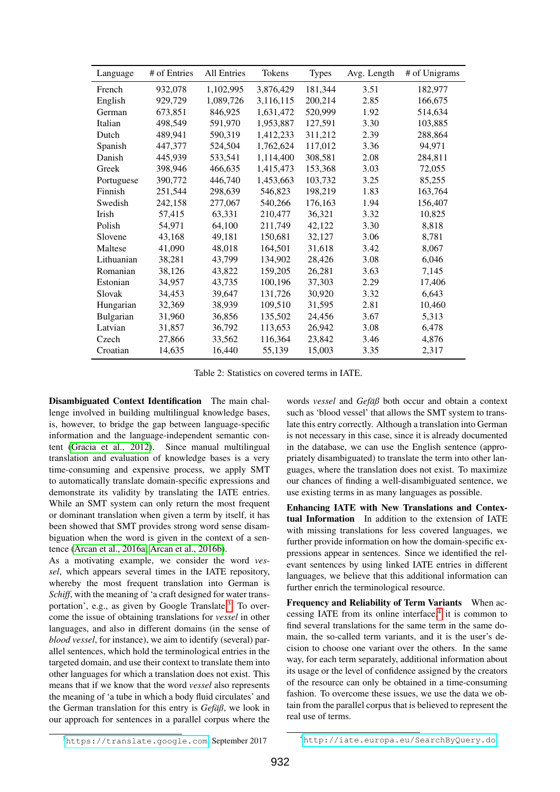| Language   | # of Entries | <b>All Entries</b> | Tokens    | <b>Types</b> | Avg. Length | # of Unigrams |
|------------|--------------|--------------------|-----------|--------------|-------------|---------------|
| French     | 932,078      | 1,102,995          | 3,876,429 | 181,344      | 3.51        | 182,977       |
| English    | 929,729      | 1,089,726          | 3,116,115 | 200,214      | 2.85        | 166,675       |
| German     | 673,851      | 846,925            | 1,631,472 | 520,999      | 1.92        | 514,634       |
| Italian    | 498,549      | 591,970            | 1,953,887 | 127,591      | 3.30        | 103,885       |
| Dutch      | 489,941      | 590,319            | 1,412,233 | 311,212      | 2.39        | 288,864       |
| Spanish    | 447,377      | 524,504            | 1,762,624 | 117,012      | 3.36        | 94,971        |
| Danish     | 445,939      | 533,541            | 1,114,400 | 308,581      | 2.08        | 284,811       |
| Greek      | 398,946      | 466,635            | 1,415,473 | 153,368      | 3.03        | 72,055        |
| Portuguese | 390,772      | 446,740            | 1,453,663 | 103,732      | 3.25        | 85,255        |
| Finnish    | 251,544      | 298,639            | 546,823   | 198,219      | 1.83        | 163,764       |
| Swedish    | 242,158      | 277,067            | 540,266   | 176,163      | 1.94        | 156,407       |
| Irish      | 57,415       | 63,331             | 210,477   | 36,321       | 3.32        | 10,825        |
| Polish     | 54,971       | 64,100             | 211,749   | 42,122       | 3.30        | 8,818         |
| Slovene    | 43,168       | 49,181             | 150,681   | 32,127       | 3.06        | 8,781         |
| Maltese    | 41,090       | 48,018             | 164,501   | 31,618       | 3.42        | 8,067         |
| Lithuanian | 38,281       | 43,799             | 134,902   | 28,426       | 3.08        | 6,046         |
| Romanian   | 38,126       | 43,822             | 159,205   | 26,281       | 3.63        | 7,145         |
| Estonian   | 34,957       | 43,735             | 100,196   | 37,303       | 2.29        | 17,406        |
| Slovak     | 34,453       | 39,647             | 131,726   | 30,920       | 3.32        | 6,643         |
| Hungarian  | 32,369       | 38,939             | 109,510   | 31,595       | 2.81        | 10,460        |
| Bulgarian  | 31,960       | 36,856             | 135,502   | 24,456       | 3.67        | 5,313         |
| Latvian    | 31,857       | 36,792             | 113,653   | 26,942       | 3.08        | 6,478         |
| Czech      | 27,866       | 33,562             | 116,364   | 23,842       | 3.46        | 4,876         |
| Croatian   | 14,635       | 16,440             | 55,139    | 15,003       | 3.35        | 2,317         |

<span id="page-2-2"></span>Table 2: Statistics on covered terms in IATE.

Disambiguated Context Identification The main challenge involved in building multilingual knowledge bases, is, however, to bridge the gap between language-specific information and the language-independent semantic content [\(Gracia et al., 2012\)](#page-6-8). Since manual multilingual translation and evaluation of knowledge bases is a very time-consuming and expensive process, we apply SMT to automatically translate domain-specific expressions and demonstrate its validity by translating the IATE entries. While an SMT system can only return the most frequent or dominant translation when given a term by itself, it has been showed that SMT provides strong word sense disambiguation when the word is given in the context of a sentence [\(Arcan et al., 2016a;](#page-6-9) [Arcan et al., 2016b\)](#page-6-10).

As a motivating example, we consider the word *vessel*, which appears several times in the IATE repository, whereby the most frequent translation into German is *Schiff*, with the meaning of 'a craft designed for water trans-portation', e.g., as given by Google Translate.<sup>[3](#page-2-0)</sup> To overcome the issue of obtaining translations for *vessel* in other languages, and also in different domains (in the sense of *blood vessel*, for instance), we aim to identify (several) parallel sentences, which hold the terminological entries in the targeted domain, and use their context to translate them into other languages for which a translation does not exist. This means that if we know that the word *vessel* also represents the meaning of 'a tube in which a body fluid circulates' and the German translation for this entry is *Gefäß*, we look in our approach for sentences in a parallel corpus where the

words *vessel* and *Gefaߨ* both occur and obtain a context such as 'blood vessel' that allows the SMT system to translate this entry correctly. Although a translation into German is not necessary in this case, since it is already documented in the database, we can use the English sentence (appropriately disambiguated) to translate the term into other languages, where the translation does not exist. To maximize our chances of finding a well-disambiguated sentence, we use existing terms in as many languages as possible.

Enhancing IATE with New Translations and Contextual Information In addition to the extension of IATE with missing translations for less covered languages, we further provide information on how the domain-specific expressions appear in sentences. Since we identified the relevant sentences by using linked IATE entries in different languages, we believe that this additional information can further enrich the terminological resource.

Frequency and Reliability of Term Variants When accessing IATE from its online interface, $4$  it is common to find several translations for the same term in the same domain, the so-called term variants, and it is the user's decision to choose one variant over the others. In the same way, for each term separately, additional information about its usage or the level of confidence assigned by the creators of the resource can only be obtained in a time-consuming fashion. To overcome these issues, we use the data we obtain from the parallel corpus that is believed to represent the real use of terms.

<span id="page-2-0"></span><sup>3</sup><https://translate.google.com>, September 2017

<span id="page-2-1"></span><sup>4</sup><http://iate.europa.eu/SearchByQuery.do>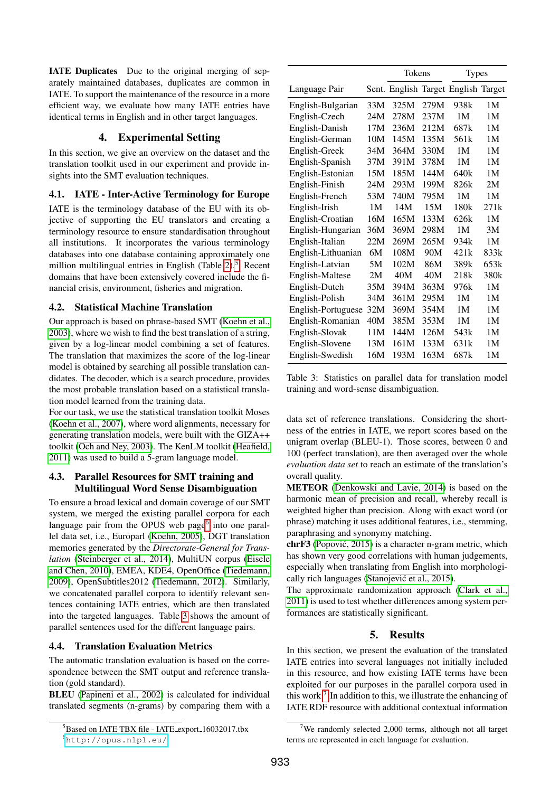IATE Duplicates Due to the original merging of separately maintained databases, duplicates are common in IATE. To support the maintenance of the resource in a more efficient way, we evaluate how many IATE entries have identical terms in English and in other target languages.

# 4. Experimental Setting

In this section, we give an overview on the dataset and the translation toolkit used in our experiment and provide insights into the SMT evaluation techniques.

### 4.1. IATE - Inter-Active Terminology for Europe

IATE is the terminology database of the EU with its objective of supporting the EU translators and creating a terminology resource to ensure standardisation throughout all institutions. It incorporates the various terminology databases into one database containing approximately one million multilingual entries in English (Table [2\)](#page-2-2).<sup>[5](#page-3-0)</sup> Recent domains that have been extensively covered include the financial crisis, environment, fisheries and migration.

### 4.2. Statistical Machine Translation

Our approach is based on phrase-based SMT [\(Koehn et al.,](#page-6-11) [2003\)](#page-6-11), where we wish to find the best translation of a string, given by a log-linear model combining a set of features. The translation that maximizes the score of the log-linear model is obtained by searching all possible translation candidates. The decoder, which is a search procedure, provides the most probable translation based on a statistical translation model learned from the training data.

For our task, we use the statistical translation toolkit Moses [\(Koehn et al., 2007\)](#page-6-12), where word alignments, necessary for generating translation models, were built with the GIZA++ toolkit [\(Och and Ney, 2003\)](#page-7-7). The KenLM toolkit [\(Heafield,](#page-6-13) [2011\)](#page-6-13) was used to build a 5-gram language model.

### 4.3. Parallel Resources for SMT training and Multilingual Word Sense Disambiguation

To ensure a broad lexical and domain coverage of our SMT system, we merged the existing parallel corpora for each language pair from the OPUS web page<sup>[6](#page-3-1)</sup> into one parallel data set, i.e., Europarl [\(Koehn, 2005\)](#page-7-8), DGT translation memories generated by the *Directorate-General for Translation* [\(Steinberger et al., 2014\)](#page-7-9), MultiUN corpus [\(Eisele](#page-6-14) [and Chen, 2010\)](#page-6-14), EMEA, KDE4, OpenOffice [\(Tiedemann,](#page-7-10) [2009\)](#page-7-10), OpenSubtitles2012 [\(Tiedemann, 2012\)](#page-7-11). Similarly, we concatenated parallel corpora to identify relevant sentences containing IATE entries, which are then translated into the targeted languages. Table [3](#page-3-2) shows the amount of parallel sentences used for the different language pairs.

# 4.4. Translation Evaluation Metrics

The automatic translation evaluation is based on the correspondence between the SMT output and reference translation (gold standard).

BLEU [\(Papineni et al., 2002\)](#page-7-12) is calculated for individual translated segments (n-grams) by comparing them with a

|                    |     | Tokens |      | <b>Types</b>                        |                |
|--------------------|-----|--------|------|-------------------------------------|----------------|
| Language Pair      |     |        |      | Sent. English Target English Target |                |
| English-Bulgarian  | 33M | 325M   | 279M | 938k                                | 1 <sub>M</sub> |
| English-Czech      | 24M | 278M   | 237M | 1M                                  | 1M             |
| English-Danish     | 17M | 236M   | 212M | 687k                                | 1 <sub>M</sub> |
| English-German     | 10M | 145M   | 135M | 561 <sub>k</sub>                    | 1 <sub>M</sub> |
| English-Greek      | 34M | 364M   | 330M | 1M                                  | 1 <sub>M</sub> |
| English-Spanish    | 37M | 391M   | 378M | 1M                                  | 1 <sub>M</sub> |
| English-Estonian   | 15M | 185M   | 144M | 640k                                | 1M             |
| English-Finish     | 24M | 293M   | 199M | 826k                                | 2M             |
| English-French     | 53M | 740M   | 795M | 1M                                  | 1 <sub>M</sub> |
| English-Irish      | 1M  | 14M    | 15M  | 180k                                | 271k           |
| English-Croatian   | 16M | 165M   | 133M | 626k                                | 1M             |
| English-Hungarian  | 36M | 369M   | 298M | 1M                                  | 3M             |
| English-Italian    | 22M | 269M   | 265M | 934k                                | 1 <sub>M</sub> |
| English-Lithuanian | 6М  | 108M   | 90M  | 421k                                | 833k           |
| English-Latvian    | 5M  | 102M   | 86M  | 389k                                | 653k           |
| English-Maltese    | 2M  | 40M    | 40M  | 218k                                | 380k           |
| English-Dutch      | 35M | 394M   | 363M | 976k                                | 1M             |
| English-Polish     | 34M | 361M   | 295M | 1M                                  | 1 <sub>M</sub> |
| English-Portuguese | 32M | 369M   | 354M | 1M                                  | 1 <sub>M</sub> |
| English-Romanian   | 40M | 385M   | 353M | 1M                                  | 1M             |
| English-Slovak     | 11M | 144M   | 126M | 543 <sub>k</sub>                    | 1M             |
| English-Slovene    | 13M | 161M   | 133M | 631k                                | 1 <sub>M</sub> |
| English-Swedish    | 16M | 193M   | 163M | 687k                                | 1M             |

<span id="page-3-2"></span>Table 3: Statistics on parallel data for translation model training and word-sense disambiguation.

data set of reference translations. Considering the shortness of the entries in IATE, we report scores based on the unigram overlap (BLEU-1). Those scores, between 0 and 100 (perfect translation), are then averaged over the whole *evaluation data set* to reach an estimate of the translation's overall quality.

METEOR [\(Denkowski and Lavie, 2014\)](#page-6-15) is based on the harmonic mean of precision and recall, whereby recall is weighted higher than precision. Along with exact word (or phrase) matching it uses additional features, i.e., stemming, paraphrasing and synonymy matching.

chrF3 [\(Popovic, 2015\)](#page-7-13) is a character n-gram metric, which ´ has shown very good correlations with human judgements, especially when translating from English into morphologically rich languages (Stanojević et al., 2015).

The approximate randomization approach [\(Clark et al.,](#page-6-16) [2011\)](#page-6-16) is used to test whether differences among system performances are statistically significant.

# 5. Results

In this section, we present the evaluation of the translated IATE entries into several languages not initially included in this resource, and how existing IATE terms have been exploited for our purposes in the parallel corpora used in this work.<sup>[7](#page-3-3)</sup> In addition to this, we illustrate the enhancing of IATE RDF resource with additional contextual information

<span id="page-3-1"></span><span id="page-3-0"></span><sup>&</sup>lt;sup>5</sup>Based on IATE TBX file - IATE\_export\_16032017.tbx <sup>6</sup><http://opus.nlpl.eu/>

<span id="page-3-3"></span><sup>&</sup>lt;sup>7</sup>We randomly selected 2,000 terms, although not all target terms are represented in each language for evaluation.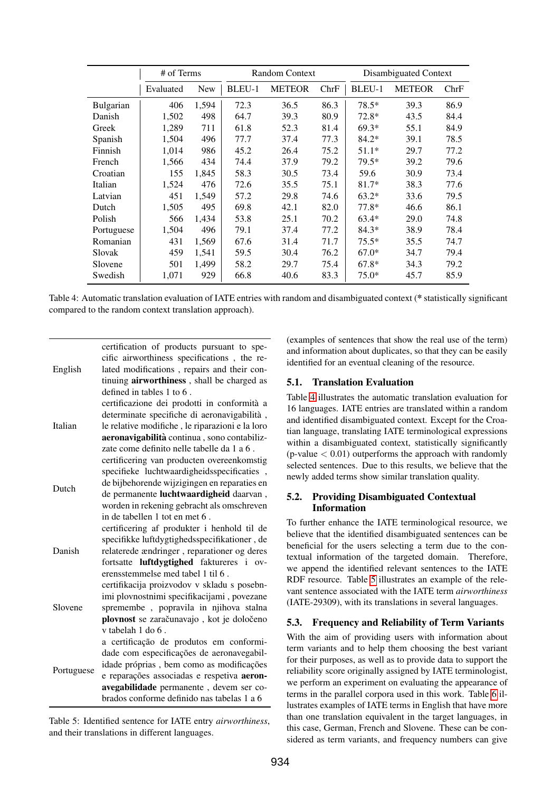|            | # of Terms |            | <b>Random Context</b> |               |      | Disambiguated Context |               |      |
|------------|------------|------------|-----------------------|---------------|------|-----------------------|---------------|------|
|            | Evaluated  | <b>New</b> | BLEU-1                | <b>METEOR</b> | ChrF | BLEU-1                | <b>METEOR</b> | ChrF |
| Bulgarian  | 406        | 1,594      | 72.3                  | 36.5          | 86.3 | $78.5*$               | 39.3          | 86.9 |
| Danish     | 1,502      | 498        | 64.7                  | 39.3          | 80.9 | $72.8*$               | 43.5          | 84.4 |
| Greek      | 1,289      | 711        | 61.8                  | 52.3          | 81.4 | $69.3*$               | 55.1          | 84.9 |
| Spanish    | 1,504      | 496        | 77.7                  | 37.4          | 77.3 | $84.2*$               | 39.1          | 78.5 |
| Finnish    | 1,014      | 986        | 45.2                  | 26.4          | 75.2 | $51.1*$               | 29.7          | 77.2 |
| French     | 1,566      | 434        | 74.4                  | 37.9          | 79.2 | $79.5*$               | 39.2          | 79.6 |
| Croatian   | 155        | 1,845      | 58.3                  | 30.5          | 73.4 | 59.6                  | 30.9          | 73.4 |
| Italian    | 1,524      | 476        | 72.6                  | 35.5          | 75.1 | $81.7*$               | 38.3          | 77.6 |
| Latvian    | 451        | 1,549      | 57.2                  | 29.8          | 74.6 | $63.2*$               | 33.6          | 79.5 |
| Dutch      | 1,505      | 495        | 69.8                  | 42.1          | 82.0 | $77.8*$               | 46.6          | 86.1 |
| Polish     | 566        | 1,434      | 53.8                  | 25.1          | 70.2 | $63.4*$               | 29.0          | 74.8 |
| Portuguese | 1,504      | 496        | 79.1                  | 37.4          | 77.2 | $84.3*$               | 38.9          | 78.4 |
| Romanian   | 431        | 1,569      | 67.6                  | 31.4          | 71.7 | $75.5*$               | 35.5          | 74.7 |
| Slovak     | 459        | 1,541      | 59.5                  | 30.4          | 76.2 | $67.0*$               | 34.7          | 79.4 |
| Slovene    | 501        | 1,499      | 58.2                  | 29.7          | 75.4 | $67.8*$               | 34.3          | 79.2 |
| Swedish    | 1,071      | 929        | 66.8                  | 40.6          | 83.3 | $75.0*$               | 45.7          | 85.9 |

<span id="page-4-0"></span>Table 4: Automatic translation evaluation of IATE entries with random and disambiguated context (\* statistically significant compared to the random context translation approach).

|            | certification of products pursuant to spe-<br>cific airworthiness specifications, the re- |
|------------|-------------------------------------------------------------------------------------------|
| English    | lated modifications, repairs and their con-                                               |
|            | tinuing airworthiness, shall be charged as                                                |
|            | defined in tables $1$ to $6$ .                                                            |
|            | certificazione dei prodotti in conformità a                                               |
|            | determinate specifiche di aeronavigabilità,                                               |
| Italian    | le relative modifiche, le riparazioni e la loro                                           |
|            | aeronavigabilità continua, sono contabiliz-                                               |
|            | zate come definito nelle tabelle da 1 a 6.                                                |
|            | certificering van producten overeenkomstig                                                |
|            | specifieke luchtwaardigheidsspecificaties,                                                |
| Dutch      | de bijbehorende wijzigingen en reparaties en                                              |
|            | de permanente luchtwaardigheid daarvan,                                                   |
|            | worden in rekening gebracht als omschreven                                                |
|            | in de tabellen 1 tot en met 6.                                                            |
|            | certificering af produkter i henhold til de                                               |
|            | specifikke luftdygtighedsspecifikationer, de                                              |
| Danish     | relaterede ændringer, reparationer og deres                                               |
|            | fortsatte luftdygtighed faktureres i ov-                                                  |
|            | erensstemmelse med tabel 1 til 6.                                                         |
|            | certifikacija proizvodov v skladu s posebn-                                               |
|            | imi plovnostnimi specifikacijami, povezane                                                |
| Slovene    | spremembe, popravila in njihova stalna                                                    |
|            | plovnost se zaračunavajo, kot je določeno                                                 |
|            | v tabelah 1 do 6.                                                                         |
|            | a certificação de produtos em conformi-                                                   |
|            | dade com especificações de aeronavegabil-                                                 |
| Portuguese | idade próprias, bem como as modificações                                                  |
|            | e reparações associadas e respetiva aeron-                                                |
|            | avegabilidade permanente, devem ser co-                                                   |
|            | brados conforme definido nas tabelas 1 a 6                                                |

<span id="page-4-1"></span>Table 5: Identified sentence for IATE entry *airworthiness*, and their translations in different languages.

(examples of sentences that show the real use of the term) and information about duplicates, so that they can be easily identified for an eventual cleaning of the resource.

### 5.1. Translation Evaluation

Table [4](#page-4-0) illustrates the automatic translation evaluation for 16 languages. IATE entries are translated within a random and identified disambiguated context. Except for the Croatian language, translating IATE terminological expressions within a disambiguated context, statistically significantly (p-value  $< 0.01$ ) outperforms the approach with randomly selected sentences. Due to this results, we believe that the newly added terms show similar translation quality.

### 5.2. Providing Disambiguated Contextual Information

To further enhance the IATE terminological resource, we believe that the identified disambiguated sentences can be beneficial for the users selecting a term due to the contextual information of the targeted domain. Therefore, we append the identified relevant sentences to the IATE RDF resource. Table [5](#page-4-1) illustrates an example of the relevant sentence associated with the IATE term *airworthiness* (IATE-29309), with its translations in several languages.

# 5.3. Frequency and Reliability of Term Variants

With the aim of providing users with information about term variants and to help them choosing the best variant for their purposes, as well as to provide data to support the reliability score originally assigned by IATE terminologist, we perform an experiment on evaluating the appearance of terms in the parallel corpora used in this work. Table [6](#page-5-0) illustrates examples of IATE terms in English that have more than one translation equivalent in the target languages, in this case, German, French and Slovene. These can be considered as term variants, and frequency numbers can give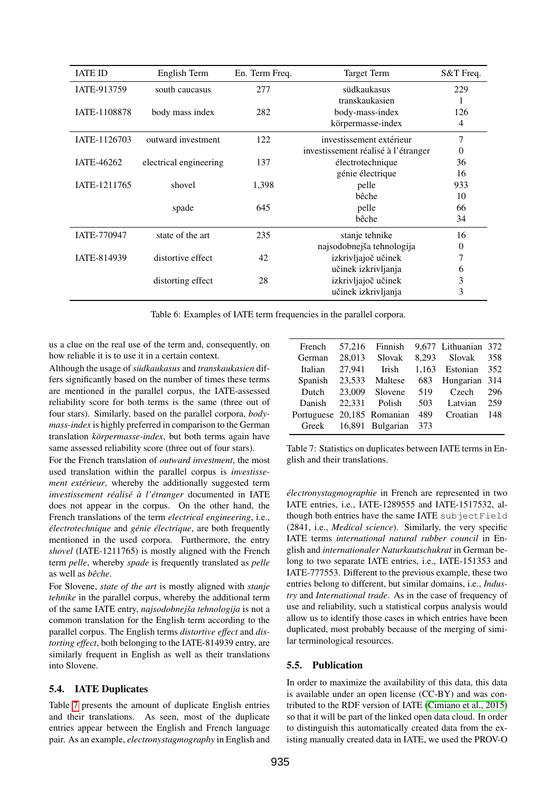| <b>IATE ID</b> | English Term           | En. Term Freq. | <b>Target Term</b>                  | S&T Freq. |
|----------------|------------------------|----------------|-------------------------------------|-----------|
| IATE-913759    | south caucasus         | 277            | südkaukasus                         | 229       |
|                |                        |                | transkaukasien                      | 1         |
| IATE-1108878   | body mass index        | 282            | body-mass-index                     | 126       |
|                |                        |                | körpermasse-index                   | 4         |
| IATE-1126703   | outward investment     | 122            | investissement extérieur            | 7         |
|                |                        |                | investissement réalisé à l'étranger | 0         |
| IATE-46262     | electrical engineering | 137            | électrotechnique                    | 36        |
|                |                        |                | génie électrique                    | 16        |
| IATE-1211765   | shovel                 | 1,398<br>pelle |                                     | 933       |
|                |                        |                | bêche                               | 10        |
|                | spade                  | 645            | pelle                               | 66        |
|                |                        |                | bêche                               | 34        |
| IATE-770947    | state of the art       | 235            | stanje tehnike                      | 16        |
|                |                        |                | najsodobnejša tehnologija           | 0         |
| IATE-814939    | distortive effect      |                | izkrivljajoč učinek<br>42           |           |
|                |                        |                | učinek izkrivljanja                 | 6         |
|                | distorting effect      | 28             | izkrivljajoč učinek                 | 3         |
|                |                        |                | učinek izkrivljanja                 | 3         |

<span id="page-5-0"></span>Table 6: Examples of IATE term frequencies in the parallel corpora.

us a clue on the real use of the term and, consequently, on how reliable it is to use it in a certain context.

Although the usage of *südkaukasus* and *transkaukasien* differs significantly based on the number of times these terms are mentioned in the parallel corpus, the IATE-assessed reliability score for both terms is the same (three out of four stars). Similarly, based on the parallel corpora, *bodymass-index* is highly preferred in comparison to the German translation *körpermasse-index*, but both terms again have same assessed reliability score (three out of four stars).

For the French translation of *outward investment*, the most used translation within the parallel corpus is *investissement extérieur*, whereby the additionally suggested term *investissement realis ´ e´ a l' ` etranger ´* documented in IATE does not appear in the corpus. On the other hand, the French translations of the term *electrical engineering*, i.e., *électrotechnique* and *génie électrique*, are both frequently mentioned in the used corpora. Furthermore, the entry *shovel* (IATE-1211765) is mostly aligned with the French term *pelle*, whereby *spade* is frequently translated as *pelle* as well as *bêche*.

For Slovene, *state of the art* is mostly aligned with *stanje tehnike* in the parallel corpus, whereby the additional term of the same IATE entry, *najsodobnejša tehnologija* is not a common translation for the English term according to the parallel corpus. The English terms *distortive effect* and *distorting effect*, both belonging to the IATE-814939 entry, are similarly frequent in English as well as their translations into Slovene.

### 5.4. IATE Duplicates

Table [7](#page-5-1) presents the amount of duplicate English entries and their translations. As seen, most of the duplicate entries appear between the English and French language pair. As an example, *electronystagmography* in English and

| French                     | 57.216 | Finnish          |     | 9,677 Lithuanian 372 |     |
|----------------------------|--------|------------------|-----|----------------------|-----|
| German                     | 28.013 | Slovak           |     | 8,293 Slovak         | 358 |
| Italian                    | 27.941 | Irish            |     | 1,163 Estonian       | 352 |
| Spanish                    | 23,533 | Maltese          |     | 683 Hungarian 314    |     |
| Dutch                      |        | $23,009$ Slovene | 519 | Czech                | 296 |
| Danish                     |        | 22,331 Polish    | 503 | Latvian              | 259 |
| Portuguese 20,185 Romanian |        |                  | 489 | Croatian             | 148 |
| Greek                      |        | 16,891 Bulgarian | 373 |                      |     |

<span id="page-5-1"></span>Table 7: Statistics on duplicates between IATE terms in English and their translations.

*électronystagmographie* in French are represented in two IATE entries, i.e., IATE-1289555 and IATE-1517532, although both entries have the same IATE subjectField (2841, i.e., *Medical science*). Similarly, the very specific IATE terms *international natural rubber council* in English and *internationaler Naturkautschukrat* in German belong to two separate IATE entries, i.e., IATE-151353 and IATE-777553. Different to the previous example, these two entries belong to different, but similar domains, i.e., *Industry* and *International trade*. As in the case of frequency of use and reliability, such a statistical corpus analysis would allow us to identify those cases in which entries have been duplicated, most probably because of the merging of similar terminological resources.

### 5.5. Publication

In order to maximize the availability of this data, this data is available under an open license (CC-BY) and was contributed to the RDF version of IATE [\(Cimiano et al., 2015\)](#page-6-1) so that it will be part of the linked open data cloud. In order to distinguish this automatically created data from the existing manually created data in IATE, we used the PROV-O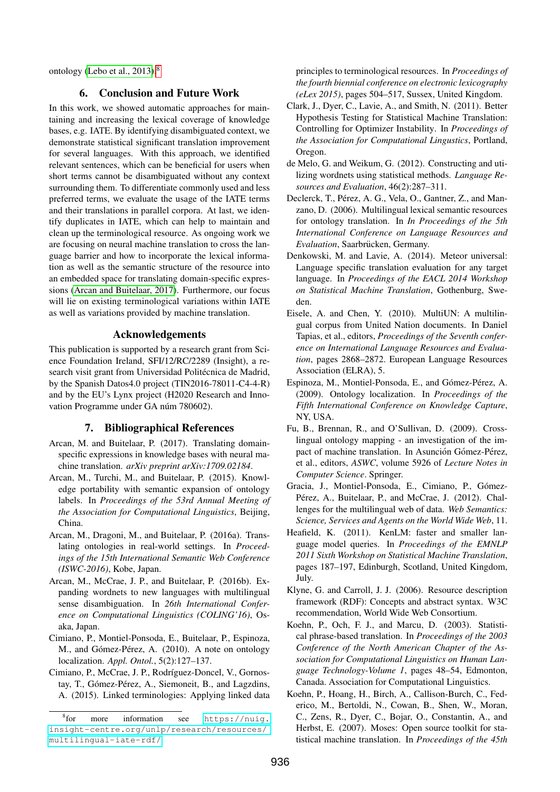ontology [\(Lebo et al., 2013\)](#page-7-15).[8](#page-6-17)

### 6. Conclusion and Future Work

In this work, we showed automatic approaches for maintaining and increasing the lexical coverage of knowledge bases, e.g. IATE. By identifying disambiguated context, we demonstrate statistical significant translation improvement for several languages. With this approach, we identified relevant sentences, which can be beneficial for users when short terms cannot be disambiguated without any context surrounding them. To differentiate commonly used and less preferred terms, we evaluate the usage of the IATE terms and their translations in parallel corpora. At last, we identify duplicates in IATE, which can help to maintain and clean up the terminological resource. As ongoing work we are focusing on neural machine translation to cross the language barrier and how to incorporate the lexical information as well as the semantic structure of the resource into an embedded space for translating domain-specific expressions [\(Arcan and Buitelaar, 2017\)](#page-6-18). Furthermore, our focus will lie on existing terminological variations within IATE as well as variations provided by machine translation.

### Acknowledgements

This publication is supported by a research grant from Science Foundation Ireland, SFI/12/RC/2289 (Insight), a research visit grant from Universidad Politécnica de Madrid, by the Spanish Datos4.0 project (TIN2016-78011-C4-4-R) and by the EU's Lynx project (H2020 Research and Innovation Programme under GA núm 780602).

#### 7. Bibliographical References

- <span id="page-6-18"></span>Arcan, M. and Buitelaar, P. (2017). Translating domainspecific expressions in knowledge bases with neural machine translation. *arXiv preprint arXiv:1709.02184*.
- <span id="page-6-6"></span>Arcan, M., Turchi, M., and Buitelaar, P. (2015). Knowledge portability with semantic expansion of ontology labels. In *Proceedings of the 53rd Annual Meeting of the Association for Computational Linguistics*, Beijing, China.
- <span id="page-6-9"></span>Arcan, M., Dragoni, M., and Buitelaar, P. (2016a). Translating ontologies in real-world settings. In *Proceedings of the 15th International Semantic Web Conference (ISWC-2016)*, Kobe, Japan.
- <span id="page-6-10"></span>Arcan, M., McCrae, J. P., and Buitelaar, P. (2016b). Expanding wordnets to new languages with multilingual sense disambiguation. In *26th International Conference on Computational Linguistics (COLING'16)*, Osaka, Japan.
- <span id="page-6-3"></span>Cimiano, P., Montiel-Ponsoda, E., Buitelaar, P., Espinoza, M., and Gómez-Pérez, A. (2010). A note on ontology localization. *Appl. Ontol.*, 5(2):127–137.
- <span id="page-6-1"></span>Cimiano, P., McCrae, J. P., Rodríguez-Doncel, V., Gornostay, T., Gómez-Pérez, A., Siemoneit, B., and Lagzdins, A. (2015). Linked terminologies: Applying linked data

principles to terminological resources. In *Proceedings of the fourth biennial conference on electronic lexicography (eLex 2015)*, pages 504–517, Sussex, United Kingdom.

- <span id="page-6-16"></span>Clark, J., Dyer, C., Lavie, A., and Smith, N. (2011). Better Hypothesis Testing for Statistical Machine Translation: Controlling for Optimizer Instability. In *Proceedings of the Association for Computational Lingustics*, Portland, Oregon.
- <span id="page-6-7"></span>de Melo, G. and Weikum, G. (2012). Constructing and utilizing wordnets using statistical methods. *Language Resources and Evaluation*, 46(2):287–311.
- <span id="page-6-2"></span>Declerck, T., Pérez, A. G., Vela, O., Gantner, Z., and Manzano, D. (2006). Multilingual lexical semantic resources for ontology translation. In *In Proceedings of the 5th International Conference on Language Resources and Evaluation*, Saarbrücken, Germany.
- <span id="page-6-15"></span>Denkowski, M. and Lavie, A. (2014). Meteor universal: Language specific translation evaluation for any target language. In *Proceedings of the EACL 2014 Workshop on Statistical Machine Translation*, Gothenburg, Sweden.
- <span id="page-6-14"></span>Eisele, A. and Chen, Y. (2010). MultiUN: A multilingual corpus from United Nation documents. In Daniel Tapias, et al., editors, *Proceedings of the Seventh conference on International Language Resources and Evaluation*, pages 2868–2872. European Language Resources Association (ELRA), 5.
- <span id="page-6-5"></span>Espinoza, M., Montiel-Ponsoda, E., and Gómez-Pérez, A. (2009). Ontology localization. In *Proceedings of the Fifth International Conference on Knowledge Capture*, NY, USA.
- <span id="page-6-4"></span>Fu, B., Brennan, R., and O'Sullivan, D. (2009). Crosslingual ontology mapping - an investigation of the impact of machine translation. In Asunción Gómez-Pérez, et al., editors, *ASWC*, volume 5926 of *Lecture Notes in Computer Science*. Springer.
- <span id="page-6-8"></span>Gracia, J., Montiel-Ponsoda, E., Cimiano, P., Gómez-Pérez, A., Buitelaar, P., and McCrae, J. (2012). Challenges for the multilingual web of data. *Web Semantics: Science, Services and Agents on the World Wide Web*, 11.
- <span id="page-6-13"></span>Heafield, K. (2011). KenLM: faster and smaller language model queries. In *Proceedings of the EMNLP 2011 Sixth Workshop on Statistical Machine Translation*, pages 187–197, Edinburgh, Scotland, United Kingdom, July.
- <span id="page-6-0"></span>Klyne, G. and Carroll, J. J. (2006). Resource description framework (RDF): Concepts and abstract syntax. W3C recommendation, World Wide Web Consortium.
- <span id="page-6-11"></span>Koehn, P., Och, F. J., and Marcu, D. (2003). Statistical phrase-based translation. In *Proceedings of the 2003 Conference of the North American Chapter of the Association for Computational Linguistics on Human Language Technology-Volume 1*, pages 48–54, Edmonton, Canada. Association for Computational Linguistics.
- <span id="page-6-12"></span>Koehn, P., Hoang, H., Birch, A., Callison-Burch, C., Federico, M., Bertoldi, N., Cowan, B., Shen, W., Moran, C., Zens, R., Dyer, C., Bojar, O., Constantin, A., and Herbst, E. (2007). Moses: Open source toolkit for statistical machine translation. In *Proceedings of the 45th*

<span id="page-6-17"></span> $8<sub>for</sub>$ more information see https://nuiq. [insight-centre.org/unlp/research/resources/](https://nuig.insight-centre.org/unlp/research/resources/multilingual-iate-rdf/) [multilingual-iate-rdf/](https://nuig.insight-centre.org/unlp/research/resources/multilingual-iate-rdf/)